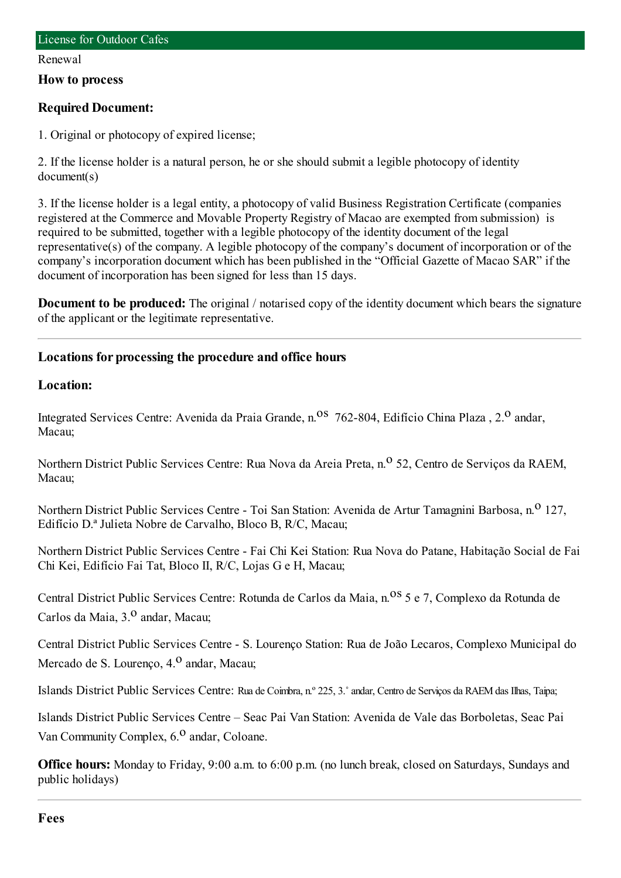#### Renewal

### **How to process**

## **Required Document:**

1. Original or photocopy of expired license;

2. If the license holder is a natural person, he or she should submit a legible photocopy of identity document(s)

3. If the license holder is a legal entity, a photocopy of valid Business Registration Certificate (companies registered at the Commerce and Movable Property Registry of Macao are exempted fromsubmission) is required to be submitted, together with a legible photocopy of the identity document of the legal representative(s) of the company. A legible photocopy of the company's document of incorporation or of the company's incorporation document which has been published in the "Official Gazette of Macao SAR" if the document of incorporation has been signed for less than 15 days.

**Document to be produced:** The original / notarised copy of the identity document which bears the signature of the applicant or the legitimate representative.

## **Locations for processing the procedure and office hours**

## **Location:**

Integrated Services Centre: Avenida da Praia Grande, n.<sup>08</sup> 762-804, Edifício China Plaza, 2.<sup>0</sup> andar, Macau;

Northern District Public Services Centre: Rua Nova da Areia Preta, n.<sup>o</sup> 52, Centro de Servicos da RAEM, Macau;

Northern District Public Services Centre - Toi San Station: Avenida de Artur Tamagnini Barbosa, n.<sup>0</sup> 127, Edifício D.ª Julieta Nobre de Carvalho, Bloco B, R/C, Macau;

Northern District Public Services Centre - Fai Chi Kei Station: Rua Nova do Patane, Habitação Social de Fai Chi Kei, Edifício Fai Tat, Bloco II, R/C, Lojas G e H, Macau;

Central District Public Services Centre: Rotunda de Carlos da Maia, n.<sup>08</sup> 5 e 7, Complexo da Rotunda de Carlos da Maia, 3.<sup>0</sup> andar, Macau;

Central District Public Services Centre - S. Lourenço Station: Rua de João Lecaros, Complexo Municipal do Mercado de S. Lourenço, 4.<sup>0</sup> andar, Macau;

Islands District Public Services Centre: Rua de Coimbra, n.º 225, 3.˚andar, Centro de Serviços da RAEMdas Ilhas, Taipa;

Islands District Public Services Centre – Seac Pai Van Station: Avenida de Vale das Borboletas, Seac Pai Van Community Complex,  $6<sup>0</sup>$  andar, Coloane.

**Office hours:** Monday to Friday, 9:00 a.m. to 6:00 p.m. (no lunch break, closed on Saturdays, Sundays and public holidays)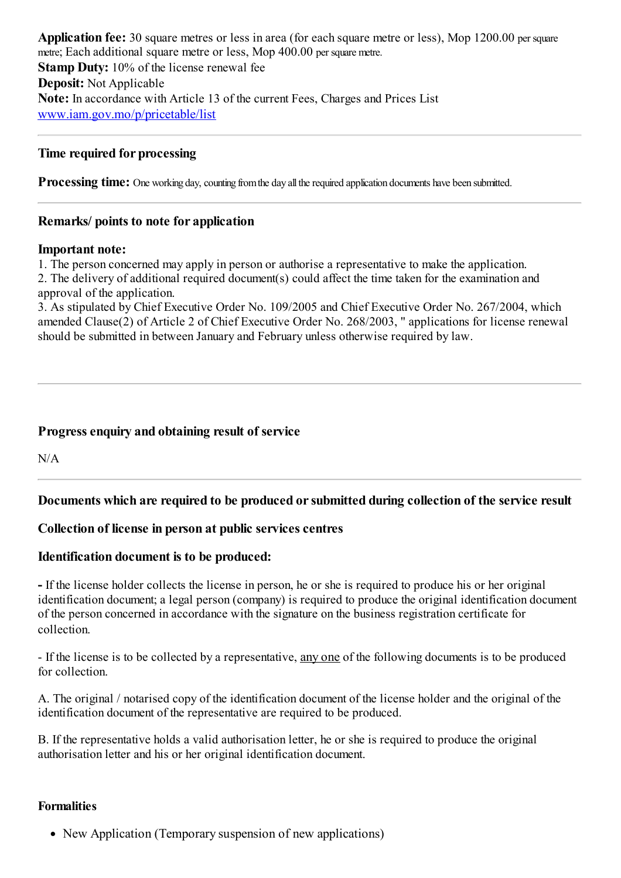**Application fee:** 30 square metres or less in area (for each square metre or less), Mop 1200.00 per square metre; Each additional square metre or less, Mop 400.00 per square metre. **Stamp Duty:** 10% of the license renewal fee **Deposit:** Not Applicable **Note:** In accordance with Article 13 of the current Fees, Charges and Prices List [www.iam.gov.mo/p/pricetable/list](http://www.iam.gov.mo/p/pricetable/list)

## **Time required for processing**

**Processing time:** One working day, counting from the day all the required application documents have been submitted.

## **Remarks/ points to note for application**

### **Important note:**

1. The person concerned may apply in person or authorise a representative to make the application.

2. The delivery of additional required document(s) could affect the time taken for the examination and approval of the application.

3. As stipulated by Chief Executive Order No. 109/2005 and Chief Executive Order No. 267/2004, which amended Clause(2) of Article 2 of Chief Executive Order No. 268/2003, " applications for license renewal should be submitted in between January and February unless otherwise required by law.

# **Progressenquiry and obtaining result of service**

 $N/A$ 

# **Documents which are required to be produced orsubmitted during collection of the service result**

# **Collection of license in person at public servicescentres**

## **Identification document is to be produced:**

**-** If the license holder collects the license in person, he or she is required to produce his or her original identification document; a legal person (company) is required to produce the original identification document of the person concerned in accordance with the signature on the business registration certificate for collection.

- If the license is to be collected by a representative, any one of the following documents is to be produced for collection.

A. The original / notarised copy of the identification document of the license holder and the original of the identification document of the representative are required to be produced.

B. If the representative holds a valid authorisation letter, he or she is required to produce the original authorisation letter and his or her original identification document.

## **Formalities**

• New Application (Temporary suspension of new applications)